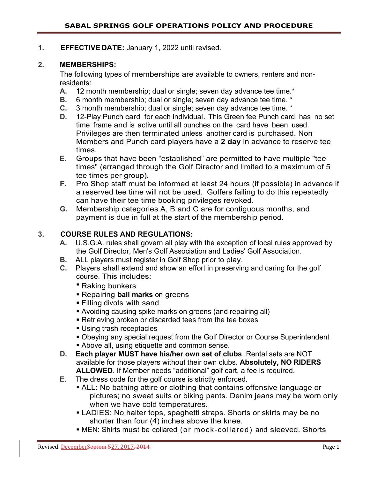### **1. EFFECTIVE DATE:** January 1, 2022 until revised.

### **2. MEMBERSHIPS:**

The following types of memberships are available to owners, renters and nonresidents:

- **A.** 12 month membership; dual or single; seven day advance tee time.\*
- **B.** 6 month membership; dual or single; seven day advance tee time. \*
- **C.** 3 month membership; dual or single; seven day advance tee time. \*
- **D.** 12-Play Punch card for each individual. This Green fee Punch card has no set time frame and is active until all punches on the card have been used. Privileges are then terminated unless another card is purchased. Non Members and Punch card players have a **2 day** in advance to reserve tee times.
- **E.** Groups that have been "established" are permitted to have multiple "tee times" (arranged through the Golf Director and limited to a maximum of 5 tee times per group).
- **F.** Pro Shop staff must be informed at least 24 hours (if possible) in advance if a reserved tee time will not be used. Golfers failing to do this repeatedly can have their tee time booking privileges revoked.
- **G.** Membership categories A, B and C are for contiguous months, and payment is due in full at the start of the membership period.

### **3. COURSE RULES AND REGULATIONS:**

- **A.** U.S.G.A. rules shall govern all play with the exception of local rules approved by the Golf Director, Men's Golf Association and Ladies' Golf Association.
- **B.** ALL players must register in Golf Shop prior to play.
- **C.** Players shall extend and show an effort in preserving and caring for the golf course. This includes:
	- **Raking bunkers**
	- Repairing **ball marks** on greens
	- Filling divots with sand
	- Avoiding causing spike marks on greens (and repairing all)
	- Retrieving broken or discarded tees from the tee boxes
	- **Using trash receptacles**
	- Obeying any special request from the Golf Director or Course Superintendent
	- **Above all, using etiquette and common sense.**
- **D. Each player MUST have his/her own set of clubs**. Rental sets are NOT available for those players without their own clubs. **Absolutely, NO RIDERS ALLOWED**. If Member needs "additional" golf cart, a fee is required.
- **E.** The dress code for the golf course is strictly enforced.
	- ALL: No bathing attire or clothing that contains offensive language or pictures; no sweat suits or biking pants. Denim jeans may be worn only when we have cold temperatures.
	- **LADIES: No halter tops, spaghetti straps. Shorts or skirts may be no** shorter than four (4) inches above the knee.
	- MEN: Shirts must be collared (or mock-collared) and sleeved. Shorts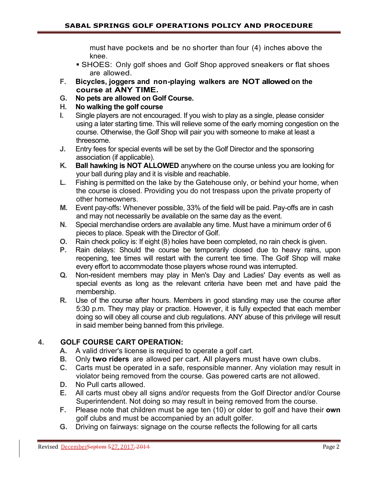must have pockets and be no shorter than four (4) inches above the knee.

- **SHOES: Only golf shoes and Golf Shop approved sneakers or flat shoes** are allowed.
- **F. Bicycles, joggers and non-playing walkers are NOT allowed on the course at ANY TIME.**
- **G. No pets are allowed on Golf Course.**
- **H. No walking the golf course**
- **I.** Single players are not encouraged. If you wish to play as a single, please consider using a later starting time. This will relieve some of the early morning congestion on the course. Otherwise, the Golf Shop will pair you with someone to make at least a threesome.
- **J.** Entry fees for special events will be set by the Golf Director and the sponsoring association (if applicable).
- **K. Ball hawking is NOT ALLOWED** anywhere on the course unless you are looking for your ball during play and it is visible and reachable.
- **L.** Fishing is permitted on the lake by the Gatehouse only, or behind your home, when the course is closed. Providing you do not trespass upon the private property of other homeowners.
- **M.** Event pay-offs: Whenever possible, 33% of the field will be paid. Pay-offs are in cash and may not necessarily be available on the same day as the event.
- **N.** Special merchandise orders are available any time. Must have a minimum order of 6 pieces to place. Speak with the Director of Golf.
- **O.** Rain check policy is: If eight (8) holes have been completed, no rain check is given.
- **P.** Rain delays: Should the course be temporarily closed due to heavy rains, upon reopening, tee times will restart with the current tee time. The Golf Shop will make every effort to accommodate those players whose round was interrupted.
- **Q.** Non-resident members may play in Men's Day and Ladies' Day events as well as special events as long as the relevant criteria have been met and have paid the membership.
- **R.** Use of the course after hours. Members in good standing may use the course after 5:30 p.m. They may play or practice. However, it is fully expected that each member doing so will obey all course and club regulations. ANY abuse of this privilege will result in said member being banned from this privilege.

# **4. GOLF COURSE CART OPERATION:**

- **A.** A valid driver's license is required to operate a golf cart.
- **B.** Only **two riders** are allowed per cart. All players must have own clubs.
- **C.** Carts must be operated in a safe, responsible manner. Any violation may result in violator being removed from the course. Gas powered carts are not allowed.
- **D.** No Pull carts allowed.
- **E.** All carts must obey all signs and/or requests from the Golf Director and/or Course Superintendent. Not doing so may result in being removed from the course.
- **F.** Please note that children must be age ten (10) or older to golf and have their **own**  golf clubs and must be accompanied by an adult golfer.
- **G.** Driving on fairways: signage on the course reflects the following for all carts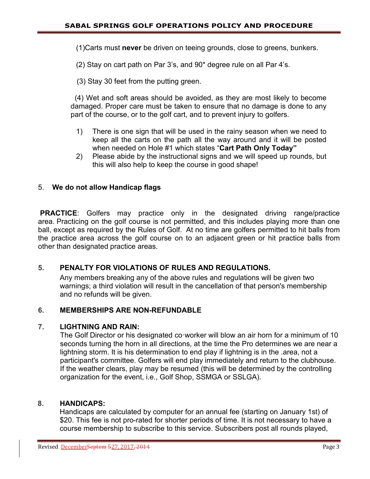(1)Carts must **never** be driven on teeing grounds, close to greens, bunkers.

(2) Stay on cart path on Par 3's, and 90\* degree rule on all Par 4's.

(3) Stay 30 feet from the putting green.

 (4) Wet and soft areas should be avoided, as they are most likely to become damaged. Proper care must be taken to ensure that no damage is done to any part of the course, or to the golf cart, and to prevent injury to golfers.

- 1) There is one sign that will be used in the rainy season when we need to keep all the carts on the path all the way around and it will be posted when needed on Hole #1 which states "**Cart Path Only Today"**
- 2) Please abide by the instructional signs and we will speed up rounds, but this will also help to keep the course in good shape!

### 5. **We do not allow Handicap flags**

**PRACTICE**: Golfers may practice only in the designated driving range/practice area. Practicing on the golf course is not permitted, and this includes playing more than one ball, except as required by the Rules of Golf. At no time are golfers permitted to hit balls from the practice area across the golf course on to an adjacent green or hit practice balls from other than designated practice areas.

### **5. PENALTY FOR VIOLATIONS OF RULES AND REGULATIONS.**

Any members breaking any of the above rules and regulations will be given two warnings; a third violation will result in the cancellation of that person's membership and no refunds will be given.

### **6. MEMBERSHIPS ARE NON-REFUNDABLE**

#### **7. LIGHTNING AND RAIN:**

The Golf Director or his designated co·worker will blow an air horn for a minimum of 10 seconds turning the horn in all directions, at the time the Pro determines we are near a lightning storm. It is his determination to end play if lightning is in the .area, not a participant's committee. Golfers will end play immediately and return to the clubhouse. If the weather clears, play may be resumed (this will be determined by the controlling organization for the event, i.e., Golf Shop, SSMGA or SSLGA).

#### **8. HANDICAPS:**

Handicaps are calculated by computer for an annual fee (starting on January 1st) of \$20. This fee is not pro-rated for shorter periods of time. It is not necessary to have a course membership to subscribe to this service. Subscribers post all rounds played,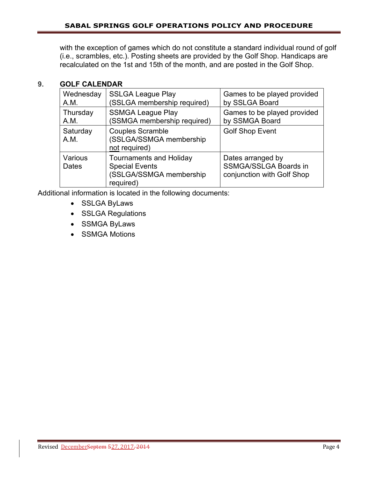with the exception of games which do not constitute a standard individual round of golf (i.e., scrambles, etc.). Posting sheets are provided by the Golf Shop. Handicaps are recalculated on the 1st and 15th of the month, and are posted in the Golf Shop.

### **9. GOLF CALENDAR**

| Wednesday        | <b>SSLGA League Play</b>                                                                        | Games to be played provided                                                     |
|------------------|-------------------------------------------------------------------------------------------------|---------------------------------------------------------------------------------|
| A.M.             | (SSLGA membership required)                                                                     | by SSLGA Board                                                                  |
| Thursday         | <b>SSMGA League Play</b>                                                                        | Games to be played provided                                                     |
| A.M.             | (SSMGA membership required)                                                                     | by SSMGA Board                                                                  |
| Saturday<br>A.M. | <b>Couples Scramble</b><br>(SSLGA/SSMGA membership<br>not required)                             | <b>Golf Shop Event</b>                                                          |
| Various<br>Dates | <b>Tournaments and Holiday</b><br><b>Special Events</b><br>(SSLGA/SSMGA membership<br>required) | Dates arranged by<br><b>SSMGA/SSLGA Boards in</b><br>conjunction with Golf Shop |

Additional information is located in the following documents:

- SSLGA ByLaws
- SSLGA Regulations
- SSMGA ByLaws
- SSMGA Motions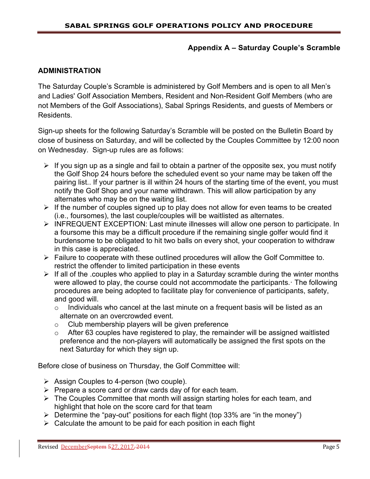#### **Appendix A – Saturday Couple's Scramble**

#### **ADMINISTRATION**

The Saturday Couple's Scramble is administered by Golf Members and is open to all Men's and Ladies' Golf Association Members, Resident and Non-Resident Golf Members (who are not Members of the Golf Associations), Sabal Springs Residents, and guests of Members or Residents.

Sign-up sheets for the following Saturday's Scramble will be posted on the Bulletin Board by close of business on Saturday, and will be collected by the Couples Committee by 12:00 noon on Wednesday. Sign-up rules are as follows:

- $\triangleright$  If you sign up as a single and fail to obtain a partner of the opposite sex, you must notify the Golf Shop 24 hours before the scheduled event so your name may be taken off the pairing list.. If your partner is ill within 24 hours of the starting time of the event, you must notify the Golf Shop and your name withdrawn. This will allow participation by any alternates who may be on the waiting list.
- $\triangleright$  If the number of couples signed up to play does not allow for even teams to be created (i.e., foursomes), the last couple/couples will be waitlisted as alternates.
- INFREQUENT EXCEPTION: Last minute illnesses will allow one person to participate. In a foursome this may be a difficult procedure if the remaining single golfer would find it burdensome to be obligated to hit two balls on every shot, your cooperation to withdraw in this case is appreciated.
- $\triangleright$  Failure to cooperate with these outlined procedures will allow the Golf Committee to. restrict the offender to limited participation in these events
- $\triangleright$  If all of the .couples who applied to play in a Saturday scramble during the winter months were allowed to play, the course could not accommodate the participants. The following procedures are being adopted to facilitate play for convenience of participants, safety, and good will.
	- $\circ$  Individuals who cancel at the last minute on a frequent basis will be listed as an alternate on an overcrowded event.
	- $\circ$  Club membership players will be given preference
	- $\circ$  After 63 couples have registered to play, the remainder will be assigned waitlisted preference and the non-players will automatically be assigned the first spots on the next Saturday for which they sign up.

Before close of business on Thursday, the Golf Committee will:

- $\triangleright$  Assign Couples to 4-person (two couple).
- $\triangleright$  Prepare a score card or draw cards day of for each team.
- $\triangleright$  The Couples Committee that month will assign starting holes for each team, and highlight that hole on the score card for that team
- Determine the "pay-out" positions for each flight (top 33% are "in the money")
- $\triangleright$  Calculate the amount to be paid for each position in each flight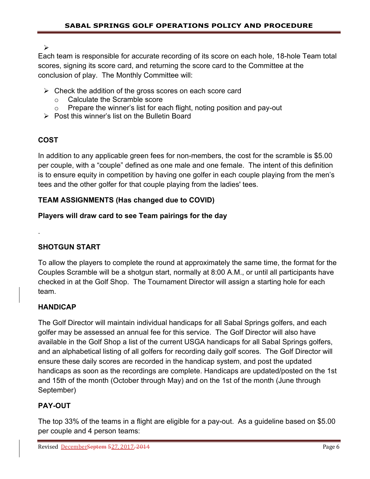$\blacktriangleright$ 

Each team is responsible for accurate recording of its score on each hole, 18-hole Team total scores, signing its score card, and returning the score card to the Committee at the conclusion of play. The Monthly Committee will:

- $\triangleright$  Check the addition of the gross scores on each score card
	- o Calculate the Scramble score
	- $\circ$  Prepare the winner's list for each flight, noting position and pay-out
- $\triangleright$  Post this winner's list on the Bulletin Board

# **COST**

.

In addition to any applicable green fees for non-members, the cost for the scramble is \$5.00 per couple, with a "couple" defined as one male and one female. The intent of this definition is to ensure equity in competition by having one golfer in each couple playing from the men's tees and the other golfer for that couple playing from the ladies' tees.

## **TEAM ASSIGNMENTS (Has changed due to COVID)**

## **Players will draw card to see Team pairings for the day**

# **SHOTGUN START**

To allow the players to complete the round at approximately the same time, the format for the Couples Scramble will be a shotgun start, normally at 8:00 A.M., or until all participants have checked in at the Golf Shop. The Tournament Director will assign a starting hole for each team.

## **HANDICAP**

The Golf Director will maintain individual handicaps for all Sabal Springs golfers, and each golfer may be assessed an annual fee for this service. The Golf Director will also have available in the Golf Shop a list of the current USGA handicaps for all Sabal Springs golfers, and an alphabetical listing of all golfers for recording daily golf scores. The Golf Director will ensure these daily scores are recorded in the handicap system, and post the updated handicaps as soon as the recordings are complete. Handicaps are updated/posted on the 1st and 15th of the month (October through May) and on the 1st of the month (June through September)

# **PAY-OUT**

The top 33% of the teams in a flight are eligible for a pay-out. As a guideline based on \$5.00 per couple and 4 person teams: